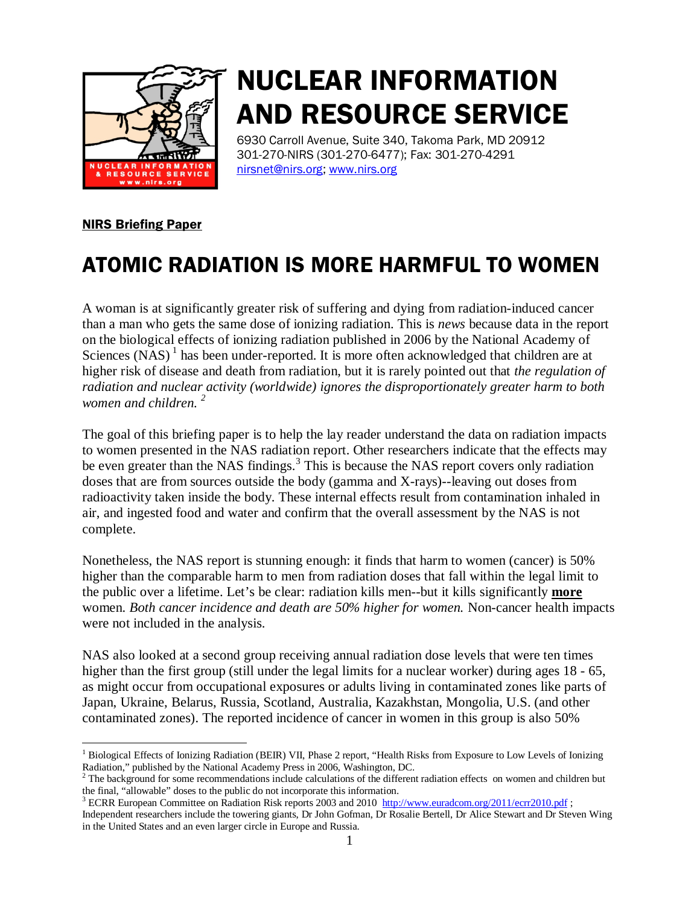

# NUCLEAR INFORMATION AND RESOURCE SERVICE

6930 Carroll Avenue, Suite 340, Takoma Park, MD 20912 301-270-NIRS (301-270-6477); Fax: 301-270-4291 nirsnet@nirs.org; www.nirs.org

### NIRS Briefing Paper

## ATOMIC RADIATION IS MORE HARMFUL TO WOMEN

A woman is at significantly greater risk of suffering and dying from radiation-induced cancer than a man who gets the same dose of ionizing radiation. This is *news* because data in the report on the biological effects of ionizing radiation published in 2006 by the National Academy of Sciences  $(NAS)^1$  has been under-reported. It is more often acknowledged that children are at higher risk of disease and death from radiation, but it is rarely pointed out that *the regulation of radiation and nuclear activity (worldwide) ignores the disproportionately greater harm to both women and children. 2*

The goal of this briefing paper is to help the lay reader understand the data on radiation impacts to women presented in the NAS radiation report. Other researchers indicate that the effects may be even greater than the NAS findings.<sup>3</sup> This is because the NAS report covers only radiation doses that are from sources outside the body (gamma and X-rays)--leaving out doses from radioactivity taken inside the body. These internal effects result from contamination inhaled in air, and ingested food and water and confirm that the overall assessment by the NAS is not complete.

Nonetheless, the NAS report is stunning enough: it finds that harm to women (cancer) is 50% higher than the comparable harm to men from radiation doses that fall within the legal limit to the public over a lifetime. Let's be clear: radiation kills men--but it kills significantly **more** women. *Both cancer incidence and death are 50% higher for women.* Non-cancer health impacts were not included in the analysis.

NAS also looked at a second group receiving annual radiation dose levels that were ten times higher than the first group (still under the legal limits for a nuclear worker) during ages 18 - 65, as might occur from occupational exposures or adults living in contaminated zones like parts of Japan, Ukraine, Belarus, Russia, Scotland, Australia, Kazakhstan, Mongolia, U.S. (and other contaminated zones). The reported incidence of cancer in women in this group is also 50%

 $\frac{1}{1}$  $<sup>1</sup>$  Biological Effects of Ionizing Radiation (BEIR) VII, Phase 2 report, "Health Risks from Exposure to Low Levels of Ionizing</sup> Radiation," published by the National Academy Press in 2006, Washington, DC. <sup>2</sup>

 $2$  The background for some recommendations include calculations of the different radiation effects on women and children but the final, "allowable" doses to the public do not incorporate this information.<br><sup>3</sup> ECRR European Committee on Radiation Risk reports 2003 and 2010 http://www.euradcom.org/2011/ecrr2010.pdf;

Independent researchers include the towering giants, Dr John Gofman, Dr Rosalie Bertell, Dr Alice Stewart and Dr Steven Wing in the United States and an even larger circle in Europe and Russia.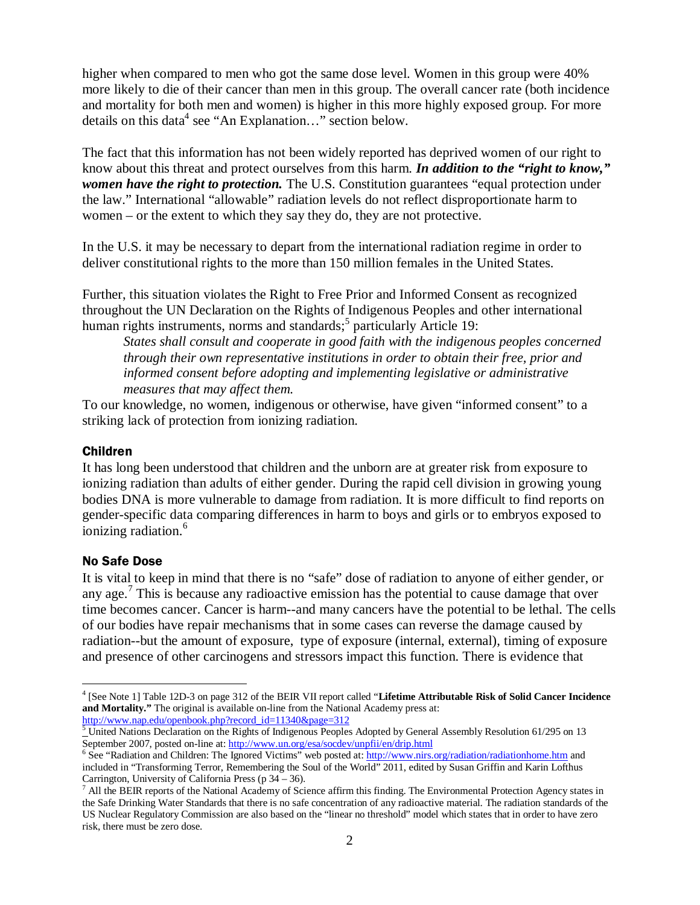higher when compared to men who got the same dose level. Women in this group were 40% more likely to die of their cancer than men in this group. The overall cancer rate (both incidence and mortality for both men and women) is higher in this more highly exposed group. For more details on this data<sup>4</sup> see "An Explanation..." section below.

The fact that this information has not been widely reported has deprived women of our right to know about this threat and protect ourselves from this harm. *In addition to the "right to know," women have the right to protection.* The U.S. Constitution guarantees "equal protection under the law." International "allowable" radiation levels do not reflect disproportionate harm to women – or the extent to which they say they do, they are not protective.

In the U.S. it may be necessary to depart from the international radiation regime in order to deliver constitutional rights to the more than 150 million females in the United States.

Further, this situation violates the Right to Free Prior and Informed Consent as recognized throughout the UN Declaration on the Rights of Indigenous Peoples and other international human rights instruments, norms and standards;<sup>5</sup> particularly Article 19:

*States shall consult and cooperate in good faith with the indigenous peoples concerned through their own representative institutions in order to obtain their free, prior and informed consent before adopting and implementing legislative or administrative measures that may affect them.* 

To our knowledge, no women, indigenous or otherwise, have given "informed consent" to a striking lack of protection from ionizing radiation.

### Children

It has long been understood that children and the unborn are at greater risk from exposure to ionizing radiation than adults of either gender. During the rapid cell division in growing young bodies DNA is more vulnerable to damage from radiation. It is more difficult to find reports on gender-specific data comparing differences in harm to boys and girls or to embryos exposed to ionizing radiation.<sup>6</sup>

### No Safe Dose

It is vital to keep in mind that there is no "safe" dose of radiation to anyone of either gender, or any age.<sup>7</sup> This is because any radioactive emission has the potential to cause damage that over time becomes cancer. Cancer is harm--and many cancers have the potential to be lethal. The cells of our bodies have repair mechanisms that in some cases can reverse the damage caused by radiation--but the amount of exposure, type of exposure (internal, external), timing of exposure and presence of other carcinogens and stressors impact this function. There is evidence that

 $\frac{1}{4}$  [See Note 1] Table 12D-3 on page 312 of the BEIR VII report called "**Lifetime Attributable Risk of Solid Cancer Incidence and Mortality."** The original is available on-line from the National Academy press at:

 $\frac{\text{http://www.nap.edu/openbook.php/record_id=11340&page=312}}{\text{United Nations Declaration on the Rights of Indigenous Peoples Adopted by General Assembly Resolution 61/295 on 13}}$ 

September 2007, posted on-line at: <u>http://www.un.org/esa/socdev/unpfii/en/drip.html</u><br><sup>6</sup> See "Radiation and Children: The Ignored Victims" web posted at: <u>http://www.nirs.org/radiation/radiationhome.htm</u> and included in "Transforming Terror, Remembering the Soul of the World" 2011, edited by Susan Griffin and Karin Lofthus Carrington, University of California Press (p  $34 - 36$ ).

 $^7$  All the BEIR reports of the National Academy of Science affirm this finding. The Environmental Protection Agency states in the Safe Drinking Water Standards that there is no safe concentration of any radioactive material. The radiation standards of the US Nuclear Regulatory Commission are also based on the "linear no threshold" model which states that in order to have zero risk, there must be zero dose.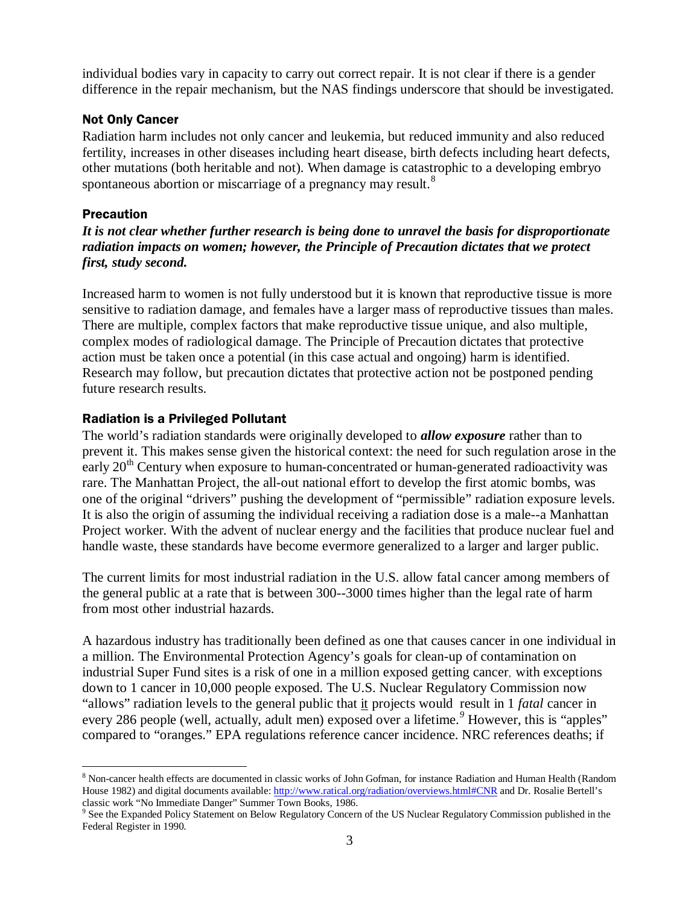individual bodies vary in capacity to carry out correct repair. It is not clear if there is a gender difference in the repair mechanism, but the NAS findings underscore that should be investigated.

### Not Only Cancer

Radiation harm includes not only cancer and leukemia, but reduced immunity and also reduced fertility, increases in other diseases including heart disease, birth defects including heart defects, other mutations (both heritable and not). When damage is catastrophic to a developing embryo spontaneous abortion or miscarriage of a pregnancy may result. $8$ 

### **Precaution**

*It is not clear whether further research is being done to unravel the basis for disproportionate radiation impacts on women; however, the Principle of Precaution dictates that we protect first, study second.* 

Increased harm to women is not fully understood but it is known that reproductive tissue is more sensitive to radiation damage, and females have a larger mass of reproductive tissues than males. There are multiple, complex factors that make reproductive tissue unique, and also multiple, complex modes of radiological damage. The Principle of Precaution dictates that protective action must be taken once a potential (in this case actual and ongoing) harm is identified. Research may follow, but precaution dictates that protective action not be postponed pending future research results.

### Radiation is a Privileged Pollutant

The world's radiation standards were originally developed to *allow exposure* rather than to prevent it. This makes sense given the historical context: the need for such regulation arose in the early  $20<sup>th</sup>$  Century when exposure to human-concentrated or human-generated radioactivity was rare. The Manhattan Project, the all-out national effort to develop the first atomic bombs, was one of the original "drivers" pushing the development of "permissible" radiation exposure levels. It is also the origin of assuming the individual receiving a radiation dose is a male--a Manhattan Project worker. With the advent of nuclear energy and the facilities that produce nuclear fuel and handle waste, these standards have become evermore generalized to a larger and larger public.

The current limits for most industrial radiation in the U.S. allow fatal cancer among members of the general public at a rate that is between 300--3000 times higher than the legal rate of harm from most other industrial hazards.

A hazardous industry has traditionally been defined as one that causes cancer in one individual in a million. The Environmental Protection Agency's goals for clean-up of contamination on industrial Super Fund sites is a risk of one in a million exposed getting cancer, with exceptions down to 1 cancer in 10,000 people exposed. The U.S. Nuclear Regulatory Commission now "allows" radiation levels to the general public that it projects would result in 1 *fatal* cancer in every 286 people (well, actually, adult men) exposed over a lifetime.<sup>9</sup> However, this is "apples" compared to "oranges." EPA regulations reference cancer incidence. NRC references deaths; if

<sup>|&</sup>lt;br>8 <sup>8</sup> Non-cancer health effects are documented in classic works of John Gofman, for instance Radiation and Human Health (Random House 1982) and digital documents available: http://www.ratical.org/radiation/overviews.html#CNR and Dr. Rosalie Bertell's

classic work "No Immediate Danger" Summer Town Books, 1986.<br><sup>9</sup> See the Expanded Policy Statement on Below Regulatory Concern of the US Nuclear Regulatory Commission published in the Federal Register in 1990.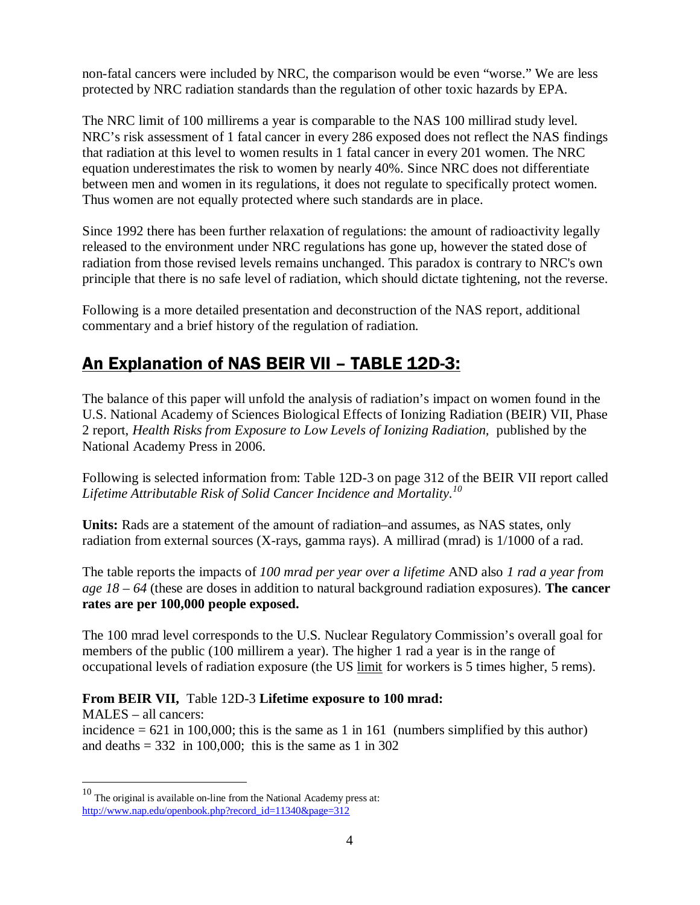non-fatal cancers were included by NRC, the comparison would be even "worse." We are less protected by NRC radiation standards than the regulation of other toxic hazards by EPA.

The NRC limit of 100 millirems a year is comparable to the NAS 100 millirad study level. NRC's risk assessment of 1 fatal cancer in every 286 exposed does not reflect the NAS findings that radiation at this level to women results in 1 fatal cancer in every 201 women. The NRC equation underestimates the risk to women by nearly 40%. Since NRC does not differentiate between men and women in its regulations, it does not regulate to specifically protect women. Thus women are not equally protected where such standards are in place.

Since 1992 there has been further relaxation of regulations: the amount of radioactivity legally released to the environment under NRC regulations has gone up, however the stated dose of radiation from those revised levels remains unchanged. This paradox is contrary to NRC's own principle that there is no safe level of radiation, which should dictate tightening, not the reverse.

Following is a more detailed presentation and deconstruction of the NAS report, additional commentary and a brief history of the regulation of radiation.

### An Explanation of NAS BEIR VII – TABLE 12D-3:

The balance of this paper will unfold the analysis of radiation's impact on women found in the U.S. National Academy of Sciences Biological Effects of Ionizing Radiation (BEIR) VII, Phase 2 report, *Health Risks from Exposure to Low Levels of Ionizing Radiation,* published by the National Academy Press in 2006.

Following is selected information from: Table 12D-3 on page 312 of the BEIR VII report called *Lifetime Attributable Risk of Solid Cancer Incidence and Mortality.<sup>10</sup>*

**Units:** Rads are a statement of the amount of radiation–and assumes, as NAS states, only radiation from external sources (X-rays, gamma rays). A millirad (mrad) is 1/1000 of a rad.

The table reports the impacts of *100 mrad per year over a lifetime* AND also *1 rad a year from age 18 – 64* (these are doses in addition to natural background radiation exposures). **The cancer rates are per 100,000 people exposed.** 

The 100 mrad level corresponds to the U.S. Nuclear Regulatory Commission's overall goal for members of the public (100 millirem a year). The higher 1 rad a year is in the range of occupational levels of radiation exposure (the US limit for workers is 5 times higher, 5 rems).

### **From BEIR VII,** Table 12D-3 **Lifetime exposure to 100 mrad:**

MALES – all cancers: incidence  $= 621$  in 100,000; this is the same as 1 in 161 (numbers simplified by this author) and deaths  $= 332$  in 100,000; this is the same as 1 in 302

 $10$  The original is available on-line from the National Academy press at: http://www.nap.edu/openbook.php?record\_id=11340&page=312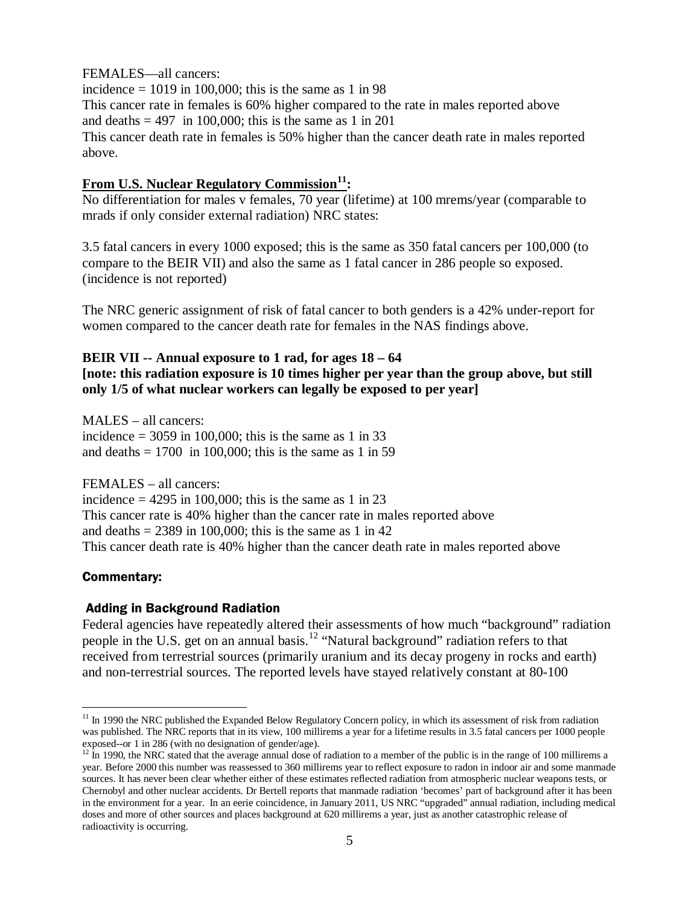FEMALES—all cancers:

incidence  $= 1019$  in 100,000; this is the same as 1 in 98 This cancer rate in females is 60% higher compared to the rate in males reported above and deaths  $= 497$  in 100,000; this is the same as 1 in 201 This cancer death rate in females is 50% higher than the cancer death rate in males reported above.

### **From U.S. Nuclear Regulatory Commission11:**

No differentiation for males v females, 70 year (lifetime) at 100 mrems/year (comparable to mrads if only consider external radiation) NRC states:

3.5 fatal cancers in every 1000 exposed; this is the same as 350 fatal cancers per 100,000 (to compare to the BEIR VII) and also the same as 1 fatal cancer in 286 people so exposed. (incidence is not reported)

The NRC generic assignment of risk of fatal cancer to both genders is a 42% under-report for women compared to the cancer death rate for females in the NAS findings above.

### **BEIR VII -- Annual exposure to 1 rad, for ages 18 – 64 [note: this radiation exposure is 10 times higher per year than the group above, but still only 1/5 of what nuclear workers can legally be exposed to per year]**

MALES – all cancers: incidence  $= 3059$  in 100,000; this is the same as 1 in 33 and deaths  $= 1700$  in 100,000; this is the same as 1 in 59

FEMALES – all cancers: incidence  $= 4295$  in 100,000; this is the same as 1 in 23 This cancer rate is 40% higher than the cancer rate in males reported above and deaths  $= 2389$  in 100,000; this is the same as 1 in 42 This cancer death rate is 40% higher than the cancer death rate in males reported above

### Commentary:

### Adding in Background Radiation

Federal agencies have repeatedly altered their assessments of how much "background" radiation people in the U.S. get on an annual basis.12 "Natural background" radiation refers to that received from terrestrial sources (primarily uranium and its decay progeny in rocks and earth) and non-terrestrial sources. The reported levels have stayed relatively constant at 80-100

 $11$  In 1990 the NRC published the Expanded Below Regulatory Concern policy, in which its assessment of risk from radiation was published. The NRC reports that in its view, 100 millirems a year for a lifetime results in 3.5 fatal cancers per 1000 people exposed--or 1 in 286 (with no designation of gender/age).<br><sup>12</sup> In 1990, the NRC stated that the average annual dose of radiation to a member of the public is in the range of 100 millirems a

year. Before 2000 this number was reassessed to 360 millirems year to reflect exposure to radon in indoor air and some manmade sources. It has never been clear whether either of these estimates reflected radiation from atmospheric nuclear weapons tests, or Chernobyl and other nuclear accidents. Dr Bertell reports that manmade radiation 'becomes' part of background after it has been in the environment for a year. In an eerie coincidence, in January 2011, US NRC "upgraded" annual radiation, including medical doses and more of other sources and places background at 620 millirems a year, just as another catastrophic release of radioactivity is occurring.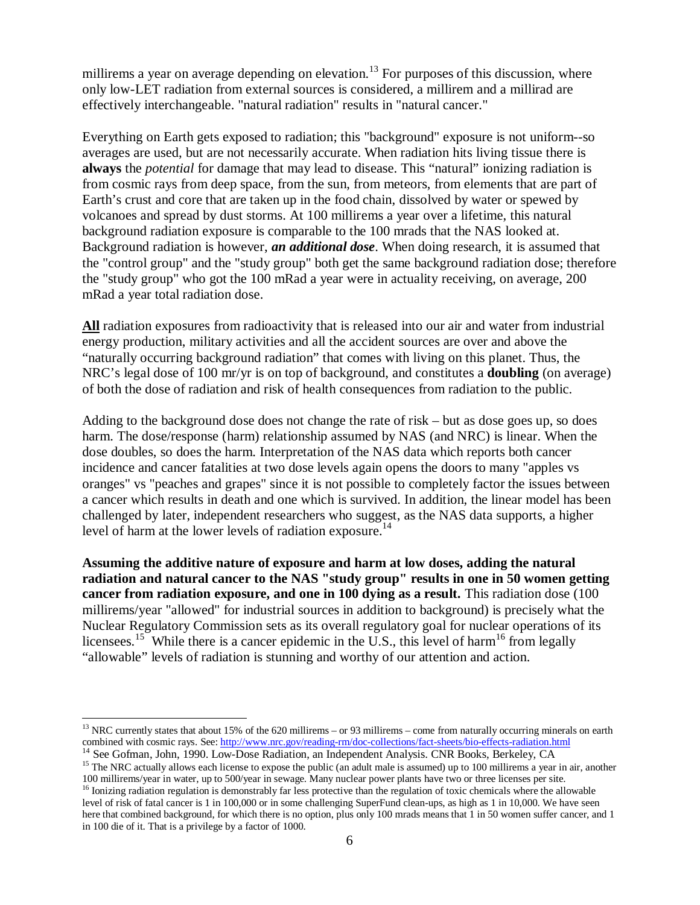millirems a year on average depending on elevation.<sup>13</sup> For purposes of this discussion, where only low-LET radiation from external sources is considered, a millirem and a millirad are effectively interchangeable. "natural radiation" results in "natural cancer."

Everything on Earth gets exposed to radiation; this "background" exposure is not uniform--so averages are used, but are not necessarily accurate. When radiation hits living tissue there is **always** the *potential* for damage that may lead to disease. This "natural" ionizing radiation is from cosmic rays from deep space, from the sun, from meteors, from elements that are part of Earth's crust and core that are taken up in the food chain, dissolved by water or spewed by volcanoes and spread by dust storms. At 100 millirems a year over a lifetime, this natural background radiation exposure is comparable to the 100 mrads that the NAS looked at. Background radiation is however, *an additional dose*. When doing research, it is assumed that the "control group" and the "study group" both get the same background radiation dose; therefore the "study group" who got the 100 mRad a year were in actuality receiving, on average, 200 mRad a year total radiation dose.

**All** radiation exposures from radioactivity that is released into our air and water from industrial energy production, military activities and all the accident sources are over and above the "naturally occurring background radiation" that comes with living on this planet. Thus, the NRC's legal dose of 100 mr/yr is on top of background, and constitutes a **doubling** (on average) of both the dose of radiation and risk of health consequences from radiation to the public.

Adding to the background dose does not change the rate of risk – but as dose goes up, so does harm. The dose/response (harm) relationship assumed by NAS (and NRC) is linear. When the dose doubles, so does the harm. Interpretation of the NAS data which reports both cancer incidence and cancer fatalities at two dose levels again opens the doors to many "apples vs oranges" vs "peaches and grapes" since it is not possible to completely factor the issues between a cancer which results in death and one which is survived. In addition, the linear model has been challenged by later, independent researchers who suggest, as the NAS data supports, a higher level of harm at the lower levels of radiation exposure.<sup>14</sup>

**Assuming the additive nature of exposure and harm at low doses, adding the natural radiation and natural cancer to the NAS "study group" results in one in 50 women getting cancer from radiation exposure, and one in 100 dying as a result.** This radiation dose (100 millirems/year "allowed" for industrial sources in addition to background) is precisely what the Nuclear Regulatory Commission sets as its overall regulatory goal for nuclear operations of its licensees.<sup>15</sup> While there is a cancer epidemic in the U.S., this level of harm<sup>16</sup> from legally "allowable" levels of radiation is stunning and worthy of our attention and action.

<sup>&</sup>lt;sup>13</sup> NRC currently states that about 15% of the 620 millirems – or 93 millirems – come from naturally occurring minerals on earth

combined with cosmic rays. See: http://www.nrc.gov/reading-rm/doc-collections/fact-sheets/bio-effects-radiation.html<br><sup>14</sup> See Gofman, John, 1990. Low-Dose Radiation, an Independent Analysis. CNR Books, Berkeley, CA<br><sup>15</sup> Th

<sup>&</sup>lt;sup>16</sup> Ionizing radiation regulation is demonstrably far less protective than the regulation of toxic chemicals where the allowable level of risk of fatal cancer is 1 in 100,000 or in some challenging SuperFund clean-ups, as high as 1 in 10,000. We have seen here that combined background, for which there is no option, plus only 100 mrads means that 1 in 50 women suffer cancer, and 1 in 100 die of it. That is a privilege by a factor of 1000.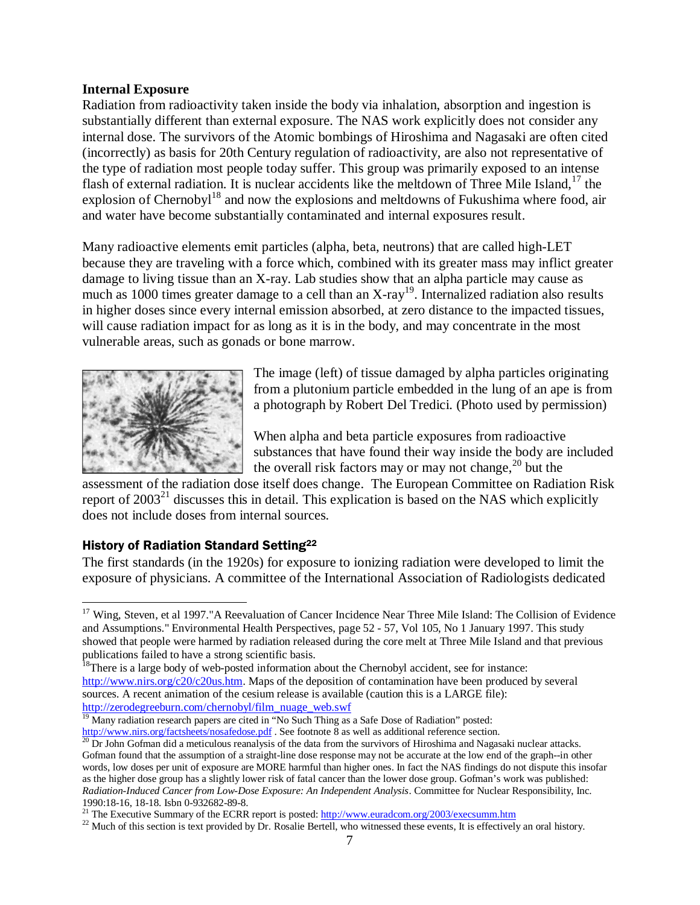### **Internal Exposure**

Radiation from radioactivity taken inside the body via inhalation, absorption and ingestion is substantially different than external exposure. The NAS work explicitly does not consider any internal dose. The survivors of the Atomic bombings of Hiroshima and Nagasaki are often cited (incorrectly) as basis for 20th Century regulation of radioactivity, are also not representative of the type of radiation most people today suffer. This group was primarily exposed to an intense flash of external radiation. It is nuclear accidents like the meltdown of Three Mile Island,  $17$  the explosion of Chernobyl<sup>18</sup> and now the explosions and meltdowns of Fukushima where food, air and water have become substantially contaminated and internal exposures result.

Many radioactive elements emit particles (alpha, beta, neutrons) that are called high-LET because they are traveling with a force which, combined with its greater mass may inflict greater damage to living tissue than an X-ray. Lab studies show that an alpha particle may cause as much as 1000 times greater damage to a cell than an X-ray<sup>19</sup>. Internalized radiation also results in higher doses since every internal emission absorbed, at zero distance to the impacted tissues, will cause radiation impact for as long as it is in the body, and may concentrate in the most vulnerable areas, such as gonads or bone marrow.



The image (left) of tissue damaged by alpha particles originating from a plutonium particle embedded in the lung of an ape is from a photograph by Robert Del Tredici. (Photo used by permission)

When alpha and beta particle exposures from radioactive substances that have found their way inside the body are included the overall risk factors may or may not change,  $^{20}$  but the

assessment of the radiation dose itself does change. The European Committee on Radiation Risk report of  $2003<sup>21</sup>$  discusses this in detail. This explication is based on the NAS which explicitly does not include doses from internal sources.

### History of Radiation Standard Setting22

The first standards (in the 1920s) for exposure to ionizing radiation were developed to limit the exposure of physicians. A committee of the International Association of Radiologists dedicated

<sup>&</sup>lt;sup>17</sup> Wing, Steven, et al 1997."A Reevaluation of Cancer Incidence Near Three Mile Island: The Collision of Evidence and Assumptions." Environmental Health Perspectives, page 52 - 57, Vol 105, No 1 January 1997. This study showed that people were harmed by radiation released during the core melt at Three Mile Island and that previous publications failed to have a strong scientific basis.<br><sup>18</sup>There is a large body of web-posted information about the Chernobyl accident, see for instance:

http://www.nirs.org/c20/c20us.htm. Maps of the deposition of contamination have been produced by several sources. A recent animation of the cesium release is available (caution this is a LARGE file): http://zerodegreeburn.com/chernobyl/film\_nuage\_web.swf<br><sup>19</sup> Many radiation research papers are cited in "No Such Thing as a Safe Dose of Radiation" posted:

http://www.nirs.org/factsheets/nosafedose.pdf . See footnote 8 as well as additional reference section.<br><sup>20</sup> Dr John Gofman did a meticulous reanalysis of the data from the survivors of Hiroshima and Nagasaki nuclear atta

Gofman found that the assumption of a straight-line dose response may not be accurate at the low end of the graph--in other words, low doses per unit of exposure are MORE harmful than higher ones. In fact the NAS findings do not dispute this insofar as the higher dose group has a slightly lower risk of fatal cancer than the lower dose group. Gofman's work was published: *Radiation-Induced Cancer from Low-Dose Exposure: An Independent Analysis*. Committee for Nuclear Responsibility, Inc. 1990:18-16, 18-18. Isbn 0-932682-89-8.<br><sup>21</sup> The Executive Summary of the ECRR report is posted:  $\frac{http://www.euradcom.org/2003/execsumm.htm}{22}$  Much of this section is text provided by Dr. Rosalie Bertell, who witnessed these events. It is